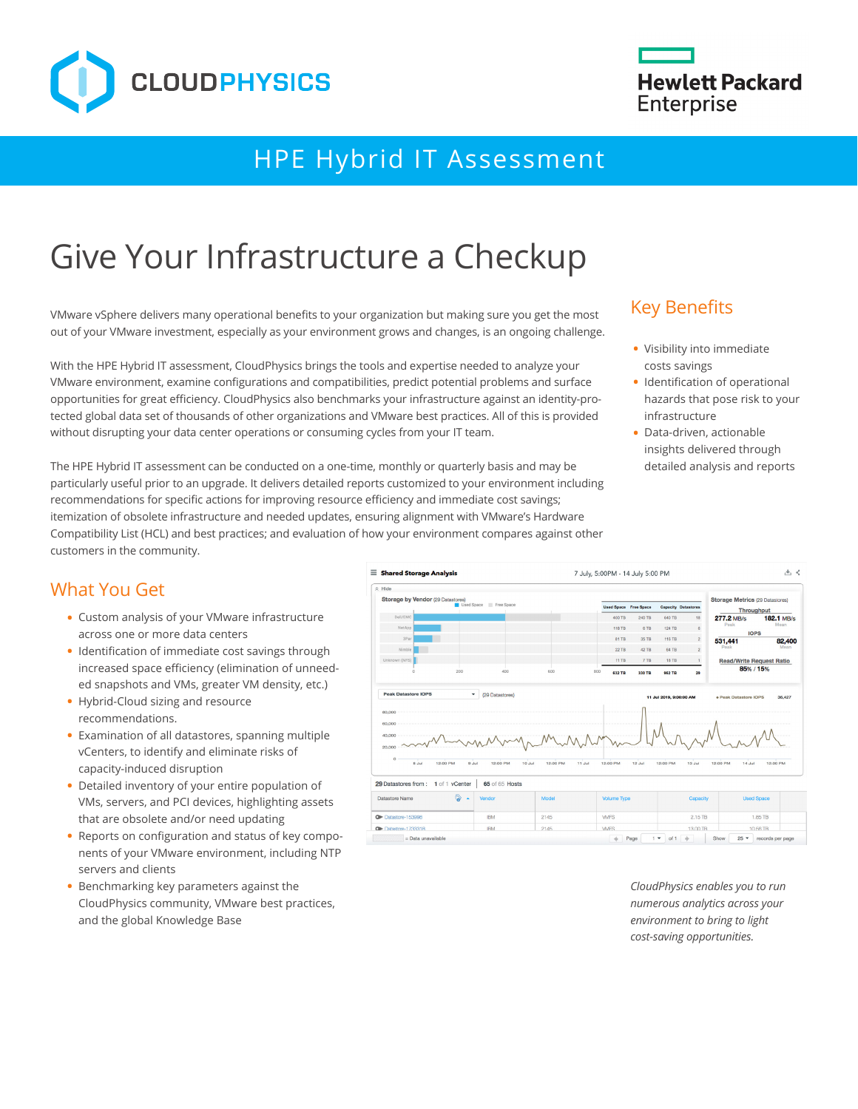

## HPE Hybrid IT Assessment

# Give Your Infrastructure a Checkup

VMware vSphere delivers many operational benefits to your organization but making sure you get the most out of your VMware investment, especially as your environment grows and changes, is an ongoing challenge.

With the HPE Hybrid IT assessment, CloudPhysics brings the tools and expertise needed to analyze your VMware environment, examine configurations and compatibilities, predict potential problems and surface opportunities for great efficiency. CloudPhysics also benchmarks your infrastructure against an identity-protected global data set of thousands of other organizations and VMware best practices. All of this is provided without disrupting your data center operations or consuming cycles from your IT team.

The HPE Hybrid IT assessment can be conducted on a one-time, monthly or quarterly basis and may be particularly useful prior to an upgrade. It delivers detailed reports customized to your environment including recommendations for specific actions for improving resource efficiency and immediate cost savings; itemization of obsolete infrastructure and needed updates, ensuring alignment with VMware's Hardware Compatibility List (HCL) and best practices; and evaluation of how your environment compares against other customers in the community.

## Key Benefits

- **•** Visibility into immediate costs savings
- **•** Identification of operational hazards that pose risk to your infrastructure
- **•** Data-driven, actionable insights delivered through detailed analysis and reports

### What You Get

- **•** Custom analysis of your VMware infrastructure across one or more data centers
- **•** Identification of immediate cost savings through increased space efficiency (elimination of unneeded snapshots and VMs, greater VM density, etc.)
- **•** Hybrid-Cloud sizing and resource recommendations.
- **•** Examination of all datastores, spanning multiple vCenters, to identify and eliminate risks of capacity-induced disruption
- **•** Detailed inventory of your entire population of VMs, servers, and PCI devices, highlighting assets that are obsolete and/or need updating
- **•** Reports on configuration and status of key components of your VMware environment, including NTP servers and clients
- **•** Benchmarking key parameters against the CloudPhysics community, VMware best practices, and the global Knowledge Base



*CloudPhysics enables you to run numerous analytics across your environment to bring to light cost-saving opportunities.*

## **Hewlett Packard Enterprise**